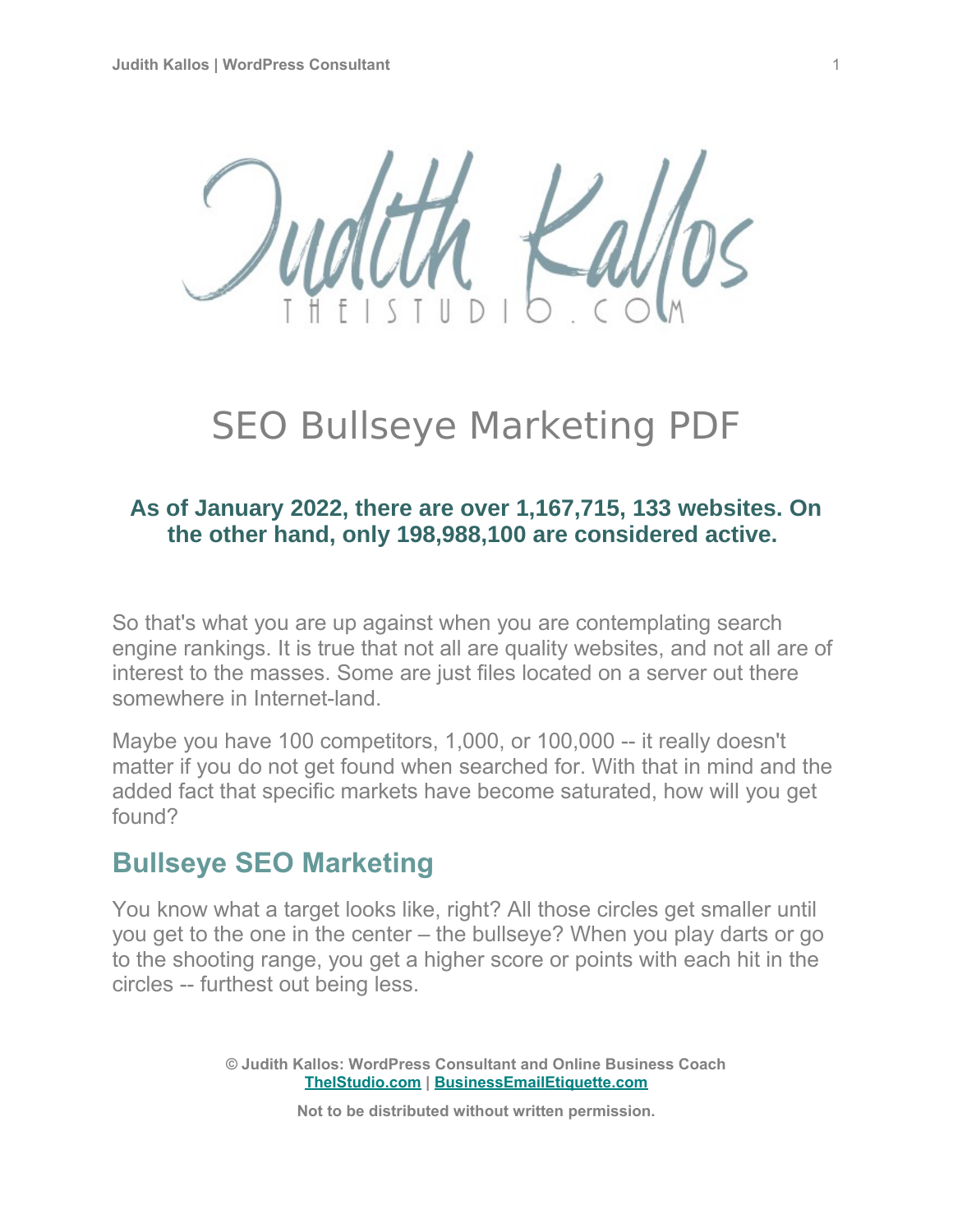

# SEO Bullseye Marketing PDF

#### **As of January 2022, there are over 1,167,715, 133 websites. On the other hand, only 198,988,100 are considered active.**

So that's what you are up against when you are contemplating search engine rankings. It is true that not all are quality websites, and not all are of interest to the masses. Some are just files located on a server out there somewhere in Internet-land.

Maybe you have 100 competitors, 1,000, or 100,000 -- it really doesn't matter if you do not get found when searched for. With that in mind and the added fact that specific markets have become saturated, how will you get found?

# **Bullseye SEO Marketing**

You know what a target looks like, right? All those circles get smaller until you get to the one in the center – the bullseye? When you play darts or go to the shooting range, you get a higher score or points with each hit in the circles -- furthest out being less.

> **© Judith Kallos: WordPress Consultant and Online Business Coach [TheIStudio.com](http://www.theistudio.com/) | [BusinessEmailEtiquette.com](http://www.businessemailetiquette.com/)**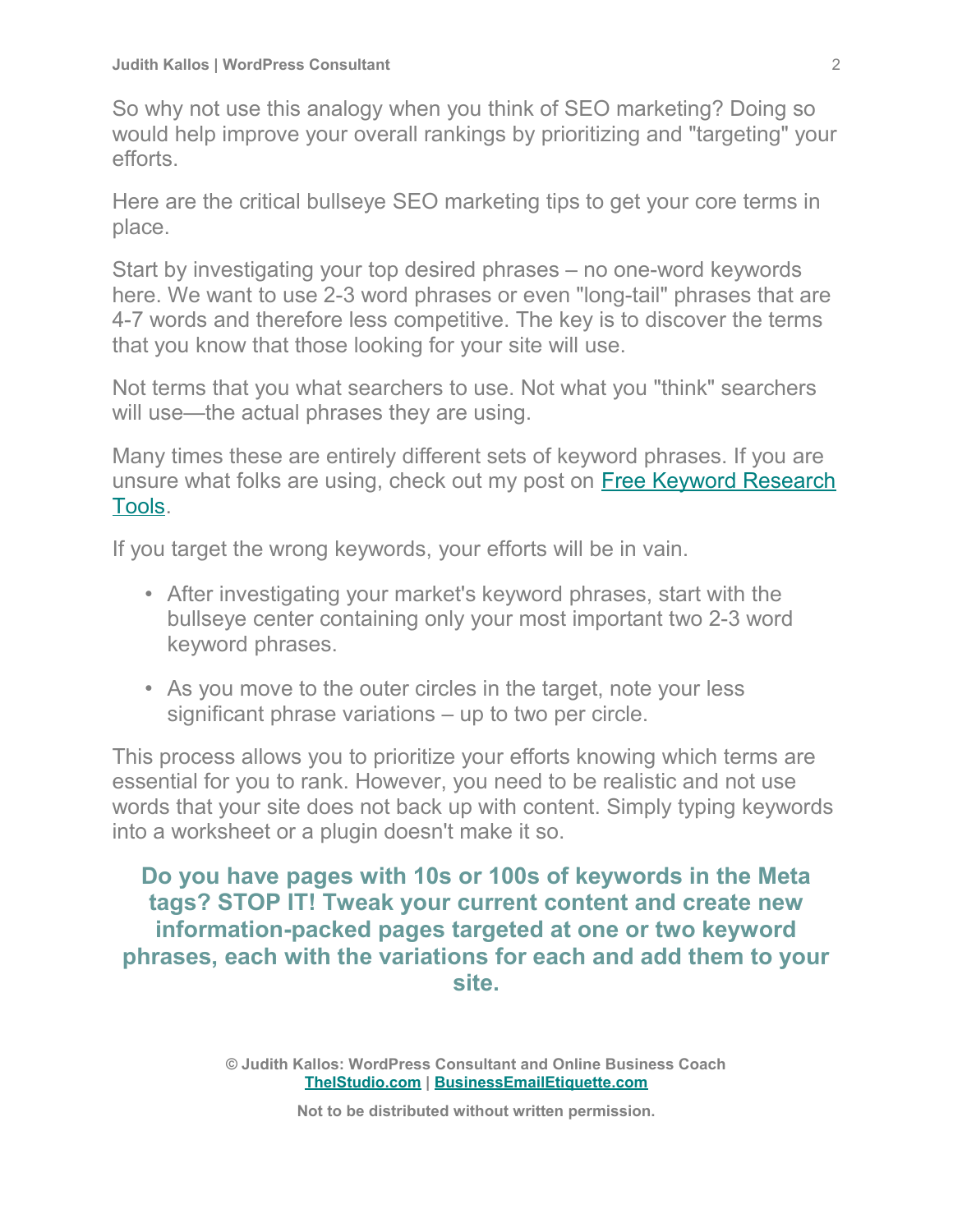So why not use this analogy when you think of SEO marketing? Doing so would help improve your overall rankings by prioritizing and "targeting" your efforts.

Here are the critical bullseye SEO marketing tips to get your core terms in place.

Start by investigating your top desired phrases – no one-word keywords here. We want to use 2-3 word phrases or even "long-tail" phrases that are 4-7 words and therefore less competitive. The key is to discover the terms that you know that those looking for your site will use.

Not terms that you what searchers to use. Not what you "think" searchers will use—the actual phrases they are using.

Many times these are entirely different sets of keyword phrases. If you are unsure what folks are using, check out my post on [Free Keyword Research](https://www.theistudio.com/free-keyword-research-tools/) [Tools.](https://www.theistudio.com/free-keyword-research-tools/)

If you target the wrong keywords, your efforts will be in vain.

- After investigating your market's keyword phrases, start with the bullseye center containing only your most important two 2-3 word keyword phrases.
- As you move to the outer circles in the target, note your less significant phrase variations – up to two per circle.

This process allows you to prioritize your efforts knowing which terms are essential for you to rank. However, you need to be realistic and not use words that your site does not back up with content. Simply typing keywords into a worksheet or a plugin doesn't make it so.

**Do you have pages with 10s or 100s of keywords in the Meta tags? STOP IT! Tweak your current content and create new information-packed pages targeted at one or two keyword phrases, each with the variations for each and add them to your site.**

> **© Judith Kallos: WordPress Consultant and Online Business Coach [TheIStudio.com](http://www.theistudio.com/) | [BusinessEmailEtiquette.com](http://www.businessemailetiquette.com/)**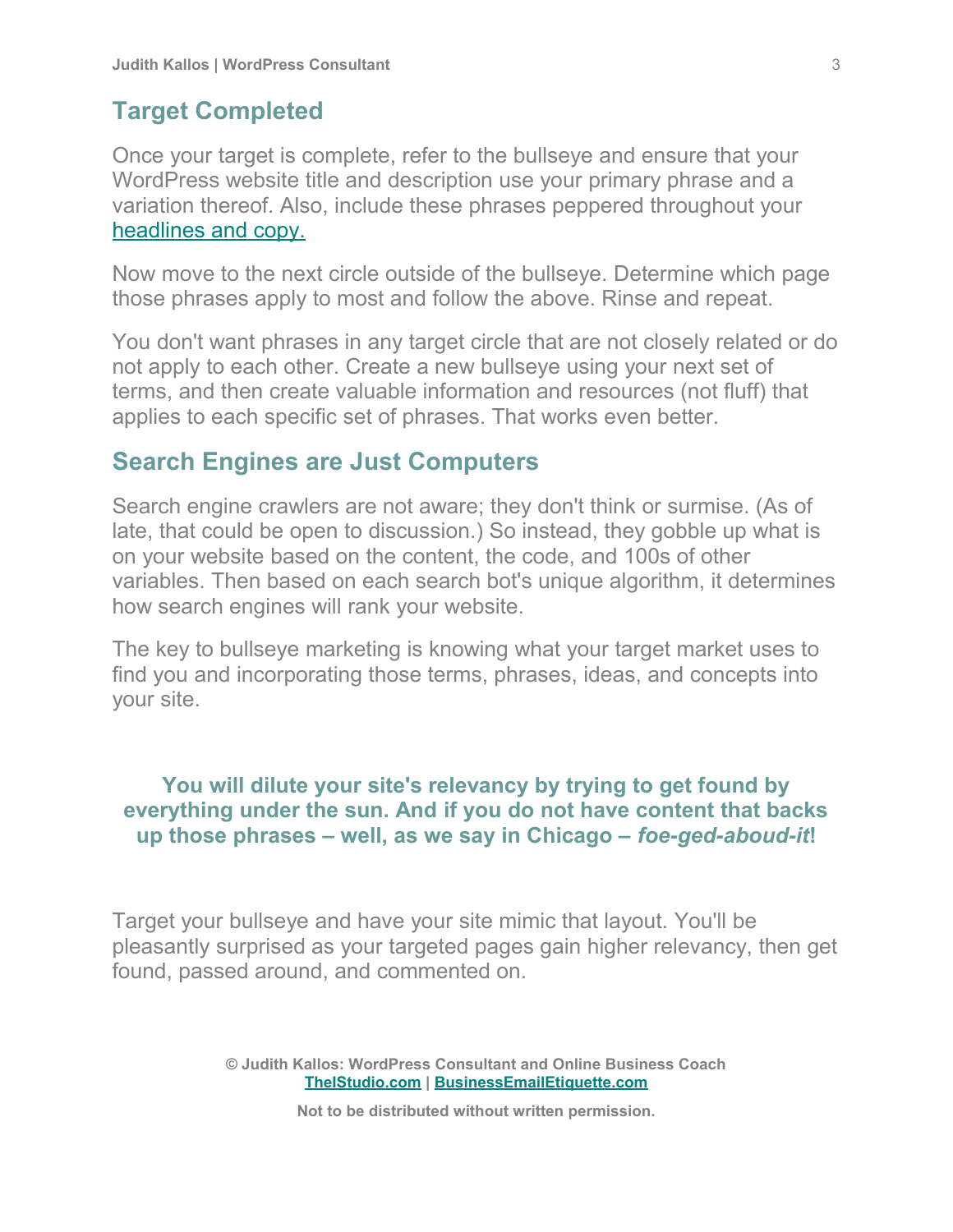#### **Target Completed**

Once your target is complete, refer to the bullseye and ensure that your WordPress website title and description use your primary phrase and a variation thereof. Also, include these phrases peppered throughout your [headlines and copy.](https://www.theistudio.com/wordpress-post-seo-tips/)

Now move to the next circle outside of the bullseye. Determine which page those phrases apply to most and follow the above. Rinse and repeat.

You don't want phrases in any target circle that are not closely related or do not apply to each other. Create a new bullseye using your next set of terms, and then create valuable information and resources (not fluff) that applies to each specific set of phrases. That works even better.

#### **Search Engines are Just Computers**

Search engine crawlers are not aware; they don't think or surmise. (As of late, that could be open to discussion.) So instead, they gobble up what is on your website based on the content, the code, and 100s of other variables. Then based on each search bot's unique algorithm, it determines how search engines will rank your website.

The key to bullseye marketing is knowing what your target market uses to find you and incorporating those terms, phrases, ideas, and concepts into your site.

#### **You will dilute your site's relevancy by trying to get found by everything under the sun. And if you do not have content that backs up those phrases – well, as we say in Chicago –** *foe-ged-aboud-it***!**

Target your bullseye and have your site mimic that layout. You'll be pleasantly surprised as your targeted pages gain higher relevancy, then get found, passed around, and commented on.

> **© Judith Kallos: WordPress Consultant and Online Business Coach [TheIStudio.com](http://www.theistudio.com/) | [BusinessEmailEtiquette.com](http://www.businessemailetiquette.com/)**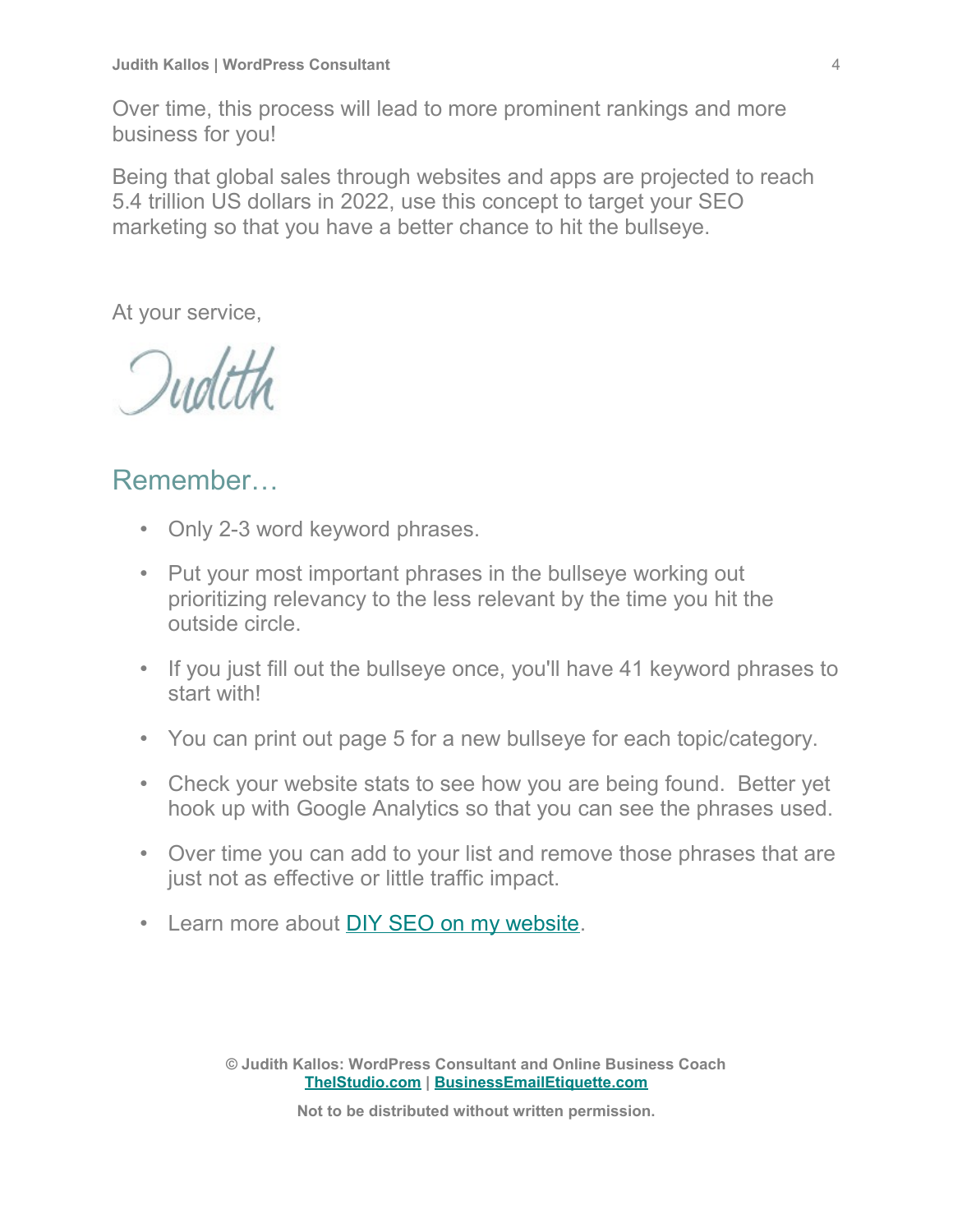Over time, this process will lead to more prominent rankings and more business for you!

Being that global sales through websites and apps are projected to reach 5.4 trillion US dollars in 2022, use this concept to target your SEO marketing so that you have a better chance to hit the bullseye.

At your service,

# Remember…

- Only 2-3 word keyword phrases.
- Put your most important phrases in the bullseye working out prioritizing relevancy to the less relevant by the time you hit the outside circle.
- If you just fill out the bullseye once, you'll have 41 keyword phrases to start with!
- You can print out page 5 for a new bullseye for each topic/category.
- Check your website stats to see how you are being found. Better yet hook up with Google Analytics so that you can see the phrases used.
- Over time you can add to your list and remove those phrases that are just not as effective or little traffic impact.
- Learn more about [DIY SEO on my website.](https://www.theistudio.com/category/seo-sem/)

**© Judith Kallos: WordPress Consultant and Online Business Coach [TheIStudio.com](http://www.theistudio.com/) | [BusinessEmailEtiquette.com](http://www.businessemailetiquette.com/)**